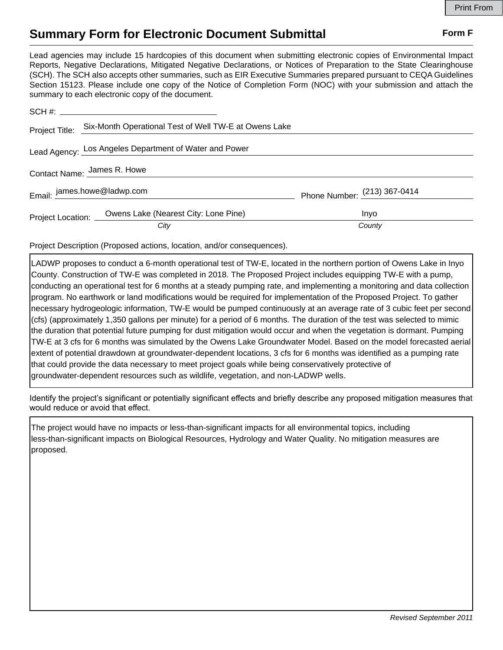## **Summary Form for Electronic Document Submittal Form F Form F**

Lead agencies may include 15 hardcopies of this document when submitting electronic copies of Environmental Impact Reports, Negative Declarations, Mitigated Negative Declarations, or Notices of Preparation to the State Clearinghouse (SCH). The SCH also accepts other summaries, such as EIR Executive Summaries prepared pursuant to CEQA Guidelines Section 15123. Please include one copy of the Notice of Completion Form (NOC) with your submission and attach the summary to each electronic copy of the document.

|                             | Project Title: Six-Month Operational Test of Well TW-E at Owens Lake |                                |
|-----------------------------|----------------------------------------------------------------------|--------------------------------|
|                             | Lead Agency: Los Angeles Department of Water and Power               |                                |
| Contact Name: James R. Howe |                                                                      |                                |
| Email: james.howe@ladwp.com |                                                                      | Phone Number: $(213)$ 367-0414 |
|                             | Project Location: Owens Lake (Nearest City: Lone Pine)               | Inyo                           |
|                             | City                                                                 | County                         |

Project Description (Proposed actions, location, and/or consequences).

LADWP proposes to conduct a 6-month operational test of TW-E, located in the northern portion of Owens Lake in Inyo County. Construction of TW-E was completed in 2018. The Proposed Project includes equipping TW-E with a pump, conducting an operational test for 6 months at a steady pumping rate, and implementing a monitoring and data collection program. No earthwork or land modifications would be required for implementation of the Proposed Project. To gather necessary hydrogeologic information, TW-E would be pumped continuously at an average rate of 3 cubic feet per second (cfs) (approximately 1,350 gallons per minute) for a period of 6 months. The duration of the test was selected to mimic the duration that potential future pumping for dust mitigation would occur and when the vegetation is dormant. Pumping TW-E at 3 cfs for 6 months was simulated by the Owens Lake Groundwater Model. Based on the model forecasted aerial extent of potential drawdown at groundwater-dependent locations, 3 cfs for 6 months was identified as a pumping rate that could provide the data necessary to meet project goals while being conservatively protective of groundwater-dependent resources such as wildlife, vegetation, and non-LADWP wells.

Identify the project's significant or potentially significant effects and briefly describe any proposed mitigation measures that would reduce or avoid that effect.

The project would have no impacts or less-than-significant impacts for all environmental topics, including less-than-significant impacts on Biological Resources, Hydrology and Water Quality. No mitigation measures are proposed.